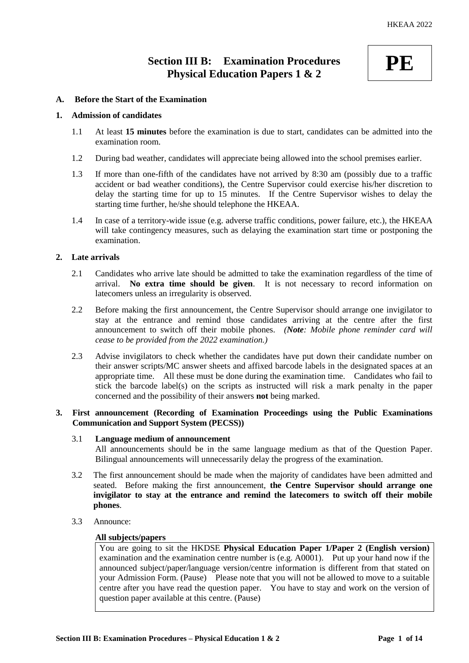# **Section III B: Examination Procedures Physical Education Papers 1 & 2**



## **A. Before the Start of the Examination**

#### **1. Admission of candidates**

- 1.1 At least **15 minutes** before the examination is due to start, candidates can be admitted into the examination room.
- 1.2 During bad weather, candidates will appreciate being allowed into the school premises earlier.
- 1.3 If more than one-fifth of the candidates have not arrived by 8:30 am (possibly due to a traffic accident or bad weather conditions), the Centre Supervisor could exercise his/her discretion to delay the starting time for up to 15 minutes. If the Centre Supervisor wishes to delay the starting time further, he/she should telephone the HKEAA.
- 1.4 In case of a territory-wide issue (e.g. adverse traffic conditions, power failure, etc.), the HKEAA will take contingency measures, such as delaying the examination start time or postponing the examination.

## **2. Late arrivals**

- 2.1 Candidates who arrive late should be admitted to take the examination regardless of the time of arrival. **No extra time should be given**. It is not necessary to record information on latecomers unless an irregularity is observed.
- 2.2 Before making the first announcement, the Centre Supervisor should arrange one invigilator to stay at the entrance and remind those candidates arriving at the centre after the first announcement to switch off their mobile phones. *(Note: Mobile phone reminder card will cease to be provided from the 2022 examination.)*
- 2.3 Advise invigilators to check whether the candidates have put down their candidate number on their answer scripts/MC answer sheets and affixed barcode labels in the designated spaces at an appropriate time. All these must be done during the examination time. Candidates who fail to stick the barcode label(s) on the scripts as instructed will risk a mark penalty in the paper concerned and the possibility of their answers **not** being marked.

#### **3. First announcement (Recording of Examination Proceedings using the Public Examinations Communication and Support System (PECSS))**

#### 3.1 **Language medium of announcement**

All announcements should be in the same language medium as that of the Question Paper. Bilingual announcements will unnecessarily delay the progress of the examination.

- 3.2 The first announcement should be made when the majority of candidates have been admitted and seated. Before making the first announcement, **the Centre Supervisor should arrange one invigilator to stay at the entrance and remind the latecomers to switch off their mobile phones**.
- 3.3 Announce:

#### **All subjects/papers**

You are going to sit the HKDSE **Physical Education Paper 1/Paper 2 (English version)** examination and the examination centre number is (e.g. A0001). Put up your hand now if the announced subject/paper/language version/centre information is different from that stated on your Admission Form. (Pause) Please note that you will not be allowed to move to a suitable centre after you have read the question paper. You have to stay and work on the version of question paper available at this centre. (Pause)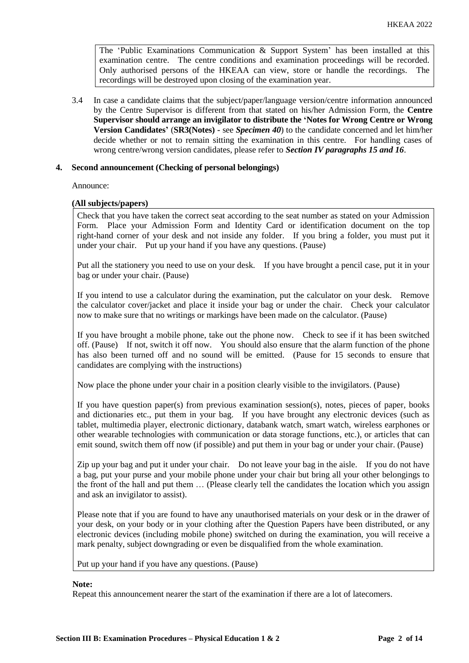The 'Public Examinations Communication  $\&$  Support System' has been installed at this examination centre. The centre conditions and examination proceedings will be recorded. Only authorised persons of the HKEAA can view, store or handle the recordings. The recordings will be destroyed upon closing of the examination year.

3.4 In case a candidate claims that the subject/paper/language version/centre information announced by the Centre Supervisor is different from that stated on his/her Admission Form, the **Centre Supervisor should arrange an invigilator to distribute the 'Notes for Wrong Centre or Wrong Version Candidates'** (**SR3(Notes) -** see *Specimen 40*) to the candidate concerned and let him/her decide whether or not to remain sitting the examination in this centre. For handling cases of wrong centre/wrong version candidates, please refer to *Section IV paragraphs 15 and 16*.

## **4. Second announcement (Checking of personal belongings)**

Announce:

#### **(All subjects/papers)**

Check that you have taken the correct seat according to the seat number as stated on your Admission Form. Place your Admission Form and Identity Card or identification document on the top right-hand corner of your desk and not inside any folder. If you bring a folder, you must put it under your chair. Put up your hand if you have any questions. (Pause)

Put all the stationery you need to use on your desk. If you have brought a pencil case, put it in your bag or under your chair. (Pause)

If you intend to use a calculator during the examination, put the calculator on your desk. Remove the calculator cover/jacket and place it inside your bag or under the chair. Check your calculator now to make sure that no writings or markings have been made on the calculator. (Pause)

If you have brought a mobile phone, take out the phone now. Check to see if it has been switched off. (Pause) If not, switch it off now. You should also ensure that the alarm function of the phone has also been turned off and no sound will be emitted. (Pause for 15 seconds to ensure that candidates are complying with the instructions)

Now place the phone under your chair in a position clearly visible to the invigilators. (Pause)

If you have question paper(s) from previous examination session(s), notes, pieces of paper, books and dictionaries etc., put them in your bag. If you have brought any electronic devices (such as tablet, multimedia player, electronic dictionary, databank watch, smart watch, wireless earphones or other wearable technologies with communication or data storage functions, etc.), or articles that can emit sound, switch them off now (if possible) and put them in your bag or under your chair. (Pause)

Zip up your bag and put it under your chair. Do not leave your bag in the aisle. If you do not have a bag, put your purse and your mobile phone under your chair but bring all your other belongings to the front of the hall and put them … (Please clearly tell the candidates the location which you assign and ask an invigilator to assist).

Please note that if you are found to have any unauthorised materials on your desk or in the drawer of your desk, on your body or in your clothing after the Question Papers have been distributed, or any electronic devices (including mobile phone) switched on during the examination, you will receive a mark penalty, subject downgrading or even be disqualified from the whole examination.

Put up your hand if you have any questions. (Pause)

#### **Note:**

Repeat this announcement nearer the start of the examination if there are a lot of latecomers.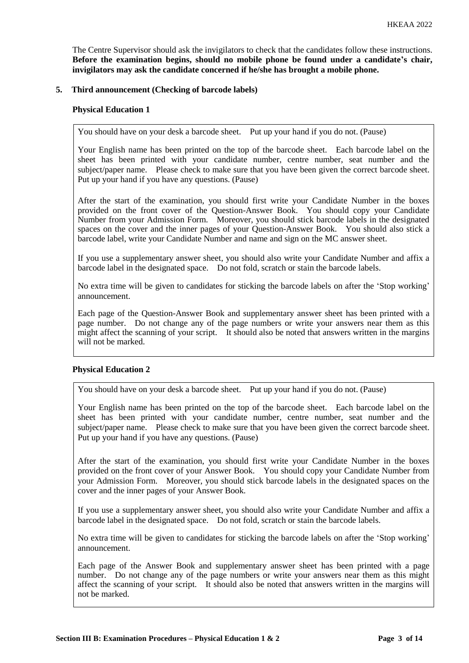The Centre Supervisor should ask the invigilators to check that the candidates follow these instructions. **Before the examination begins, should no mobile phone be found under a candidate's chair, invigilators may ask the candidate concerned if he/she has brought a mobile phone.**

## **5. Third announcement (Checking of barcode labels)**

#### **Physical Education 1**

You should have on your desk a barcode sheet. Put up your hand if you do not. (Pause)

Your English name has been printed on the top of the barcode sheet. Each barcode label on the sheet has been printed with your candidate number, centre number, seat number and the subject/paper name. Please check to make sure that you have been given the correct barcode sheet. Put up your hand if you have any questions. (Pause)

After the start of the examination, you should first write your Candidate Number in the boxes provided on the front cover of the Question-Answer Book. You should copy your Candidate Number from your Admission Form. Moreover, you should stick barcode labels in the designated spaces on the cover and the inner pages of your Question-Answer Book. You should also stick a barcode label, write your Candidate Number and name and sign on the MC answer sheet.

If you use a supplementary answer sheet, you should also write your Candidate Number and affix a barcode label in the designated space. Do not fold, scratch or stain the barcode labels.

No extra time will be given to candidates for sticking the barcode labels on after the 'Stop working' announcement.

Each page of the Question-Answer Book and supplementary answer sheet has been printed with a page number. Do not change any of the page numbers or write your answers near them as this might affect the scanning of your script. It should also be noted that answers written in the margins will not be marked.

## **Physical Education 2**

You should have on your desk a barcode sheet. Put up your hand if you do not. (Pause)

Your English name has been printed on the top of the barcode sheet. Each barcode label on the sheet has been printed with your candidate number, centre number, seat number and the subject/paper name. Please check to make sure that you have been given the correct barcode sheet. Put up your hand if you have any questions. (Pause)

After the start of the examination, you should first write your Candidate Number in the boxes provided on the front cover of your Answer Book. You should copy your Candidate Number from your Admission Form. Moreover, you should stick barcode labels in the designated spaces on the cover and the inner pages of your Answer Book.

If you use a supplementary answer sheet, you should also write your Candidate Number and affix a barcode label in the designated space. Do not fold, scratch or stain the barcode labels.

No extra time will be given to candidates for sticking the barcode labels on after the 'Stop working' announcement.

Each page of the Answer Book and supplementary answer sheet has been printed with a page number. Do not change any of the page numbers or write your answers near them as this might affect the scanning of your script. It should also be noted that answers written in the margins will not be marked.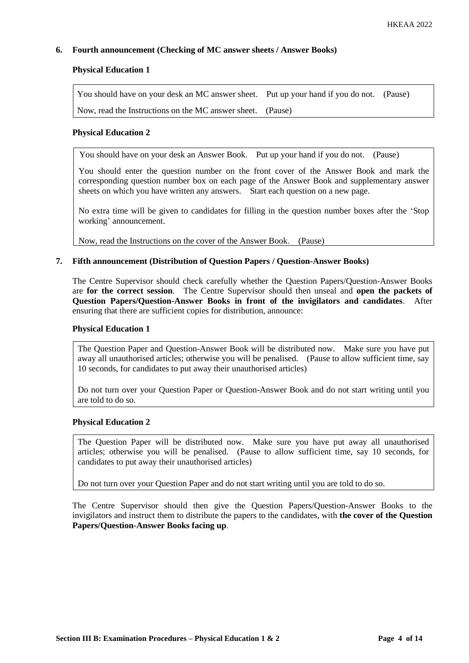## **6. Fourth announcement (Checking of MC answer sheets / Answer Books)**

## **Physical Education 1**

You should have on your desk an MC answer sheet. Put up your hand if you do not. (Pause) Now, read the Instructions on the MC answer sheet. (Pause)

#### **Physical Education 2**

You should have on your desk an Answer Book. Put up your hand if you do not. (Pause)

You should enter the question number on the front cover of the Answer Book and mark the corresponding question number box on each page of the Answer Book and supplementary answer sheets on which you have written any answers. Start each question on a new page.

No extra time will be given to candidates for filling in the question number boxes after the 'Stop working' announcement.

Now, read the Instructions on the cover of the Answer Book. (Pause)

#### **7. Fifth announcement (Distribution of Question Papers / Question-Answer Books)**

The Centre Supervisor should check carefully whether the Question Papers/Question-Answer Books are **for the correct session**. The Centre Supervisor should then unseal and **open the packets of Question Papers/Question-Answer Books in front of the invigilators and candidates**. After ensuring that there are sufficient copies for distribution, announce:

#### **Physical Education 1**

The Question Paper and Question-Answer Book will be distributed now. Make sure you have put away all unauthorised articles; otherwise you will be penalised. (Pause to allow sufficient time, say 10 seconds, for candidates to put away their unauthorised articles)

Do not turn over your Question Paper or Question-Answer Book and do not start writing until you are told to do so.

#### **Physical Education 2**

The Question Paper will be distributed now. Make sure you have put away all unauthorised articles; otherwise you will be penalised. (Pause to allow sufficient time, say 10 seconds, for candidates to put away their unauthorised articles)

Do not turn over your Question Paper and do not start writing until you are told to do so.

The Centre Supervisor should then give the Question Papers/Question-Answer Books to the invigilators and instruct them to distribute the papers to the candidates, with **the cover of the Question Papers/Question-Answer Books facing up**.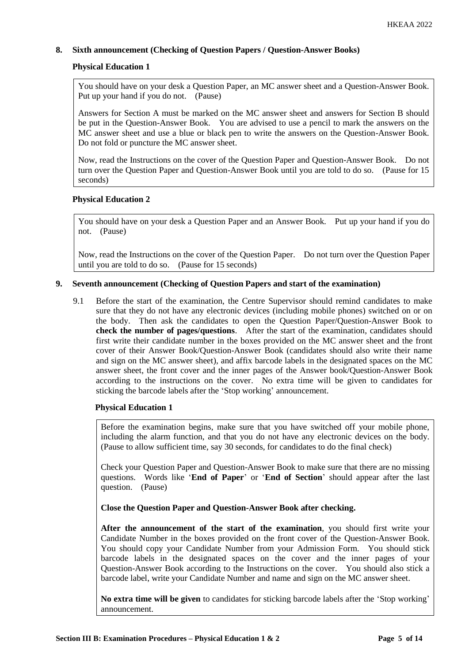# **8. Sixth announcement (Checking of Question Papers / Question-Answer Books)**

# **Physical Education 1**

You should have on your desk a Question Paper, an MC answer sheet and a Question-Answer Book. Put up your hand if you do not. (Pause)

Answers for Section A must be marked on the MC answer sheet and answers for Section B should be put in the Question-Answer Book. You are advised to use a pencil to mark the answers on the MC answer sheet and use a blue or black pen to write the answers on the Question-Answer Book. Do not fold or puncture the MC answer sheet.

Now, read the Instructions on the cover of the Question Paper and Question-Answer Book. Do not turn over the Question Paper and Question-Answer Book until you are told to do so. (Pause for 15 seconds)

#### **Physical Education 2**

You should have on your desk a Question Paper and an Answer Book. Put up your hand if you do not. (Pause)

Now, read the Instructions on the cover of the Question Paper. Do not turn over the Question Paper until you are told to do so. (Pause for 15 seconds)

#### **9. Seventh announcement (Checking of Question Papers and start of the examination)**

9.1 Before the start of the examination, the Centre Supervisor should remind candidates to make sure that they do not have any electronic devices (including mobile phones) switched on or on the body. Then ask the candidates to open the Question Paper/Question-Answer Book to **check the number of pages/questions**. After the start of the examination, candidates should first write their candidate number in the boxes provided on the MC answer sheet and the front cover of their Answer Book/Question-Answer Book (candidates should also write their name and sign on the MC answer sheet), and affix barcode labels in the designated spaces on the MC answer sheet, the front cover and the inner pages of the Answer book/Question-Answer Book according to the instructions on the cover. No extra time will be given to candidates for sticking the barcode labels after the 'Stop working' announcement.

#### **Physical Education 1**

Before the examination begins, make sure that you have switched off your mobile phone, including the alarm function, and that you do not have any electronic devices on the body. (Pause to allow sufficient time, say 30 seconds, for candidates to do the final check)

Check your Question Paper and Question-Answer Book to make sure that there are no missing questions. Words like '**End of Paper**' or '**End of Section**' should appear after the last question. (Pause)

**Close the Question Paper and Question-Answer Book after checking.**

**After the announcement of the start of the examination**, you should first write your Candidate Number in the boxes provided on the front cover of the Question-Answer Book. You should copy your Candidate Number from your Admission Form. You should stick barcode labels in the designated spaces on the cover and the inner pages of your Question-Answer Book according to the Instructions on the cover. You should also stick a barcode label, write your Candidate Number and name and sign on the MC answer sheet.

**No extra time will be given** to candidates for sticking barcode labels after the 'Stop working' announcement.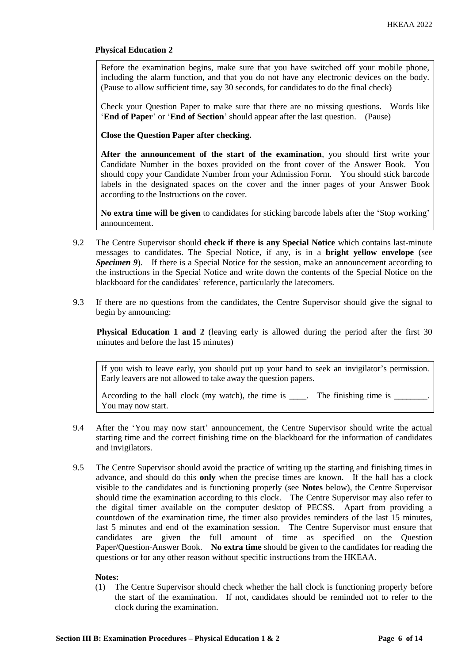## **Physical Education 2**

Before the examination begins, make sure that you have switched off your mobile phone, including the alarm function, and that you do not have any electronic devices on the body. (Pause to allow sufficient time, say 30 seconds, for candidates to do the final check)

Check your Question Paper to make sure that there are no missing questions. Words like '**End of Paper**' or '**End of Section**' should appear after the last question. (Pause)

**Close the Question Paper after checking.**

**After the announcement of the start of the examination**, you should first write your Candidate Number in the boxes provided on the front cover of the Answer Book. You should copy your Candidate Number from your Admission Form. You should stick barcode labels in the designated spaces on the cover and the inner pages of your Answer Book according to the Instructions on the cover.

**No extra time will be given** to candidates for sticking barcode labels after the 'Stop working' announcement.

- 9.2 The Centre Supervisor should **check if there is any Special Notice** which contains last-minute messages to candidates. The Special Notice, if any, is in a **bright yellow envelope** (see *Specimen 9*). If there is a Special Notice for the session, make an announcement according to the instructions in the Special Notice and write down the contents of the Special Notice on the blackboard for the candidates' reference, particularly the latecomers.
- 9.3 If there are no questions from the candidates, the Centre Supervisor should give the signal to begin by announcing:

**Physical Education 1 and 2** (leaving early is allowed during the period after the first 30 minutes and before the last 15 minutes)

If you wish to leave early, you should put up your hand to seek an invigilator's permission. Early leavers are not allowed to take away the question papers.

According to the hall clock (my watch), the time is  $\_\_\_\_\_\_\_\_\_\_\_\_\$  The finishing time is  $\_\_\_\_\_\_\_\_\_\_\_\_\_\_\_\_\_\_\_\_\_\_\_\_\_\_\_\_\_$ You may now start.

- 9.4 After the 'You may now start' announcement, the Centre Supervisor should write the actual starting time and the correct finishing time on the blackboard for the information of candidates and invigilators.
- 9.5 The Centre Supervisor should avoid the practice of writing up the starting and finishing times in advance, and should do this **only** when the precise times are known. If the hall has a clock visible to the candidates and is functioning properly (see **Notes** below), the Centre Supervisor should time the examination according to this clock. The Centre Supervisor may also refer to the digital timer available on the computer desktop of PECSS. Apart from providing a countdown of the examination time, the timer also provides reminders of the last 15 minutes, last 5 minutes and end of the examination session. The Centre Supervisor must ensure that candidates are given the full amount of time as specified on the Question Paper/Question-Answer Book. **No extra time** should be given to the candidates for reading the questions or for any other reason without specific instructions from the HKEAA.

#### **Notes:**

(1) The Centre Supervisor should check whether the hall clock is functioning properly before the start of the examination. If not, candidates should be reminded not to refer to the clock during the examination.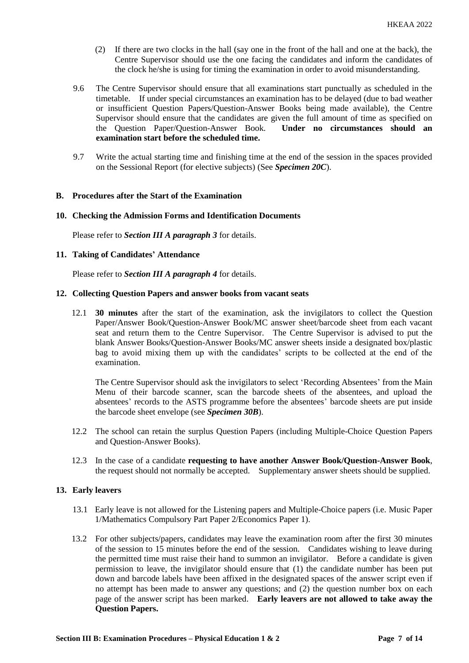- (2) If there are two clocks in the hall (say one in the front of the hall and one at the back), the Centre Supervisor should use the one facing the candidates and inform the candidates of the clock he/she is using for timing the examination in order to avoid misunderstanding.
- 9.6 The Centre Supervisor should ensure that all examinations start punctually as scheduled in the timetable. If under special circumstances an examination has to be delayed (due to bad weather or insufficient Question Papers/Question-Answer Books being made available), the Centre Supervisor should ensure that the candidates are given the full amount of time as specified on the Question Paper/Question-Answer Book. **Under no circumstances should an examination start before the scheduled time.**
- 9.7 Write the actual starting time and finishing time at the end of the session in the spaces provided on the Sessional Report (for elective subjects) (See *Specimen 20C*).

#### **B. Procedures after the Start of the Examination**

#### **10. Checking the Admission Forms and Identification Documents**

Please refer to *Section III A paragraph 3* for details.

#### **11. Taking of Candidates' Attendance**

Please refer to *Section III A paragraph 4* for details.

#### **12. Collecting Question Papers and answer books from vacant seats**

12.1 **30 minutes** after the start of the examination, ask the invigilators to collect the Question Paper/Answer Book/Question-Answer Book/MC answer sheet/barcode sheet from each vacant seat and return them to the Centre Supervisor. The Centre Supervisor is advised to put the blank Answer Books/Question-Answer Books/MC answer sheets inside a designated box/plastic bag to avoid mixing them up with the candidates' scripts to be collected at the end of the examination.

The Centre Supervisor should ask the invigilators to select 'Recording Absentees' from the Main Menu of their barcode scanner, scan the barcode sheets of the absentees, and upload the absentees' records to the ASTS programme before the absentees' barcode sheets are put inside the barcode sheet envelope (see *Specimen 30B*).

- 12.2 The school can retain the surplus Question Papers (including Multiple-Choice Question Papers and Question-Answer Books).
- 12.3 In the case of a candidate **requesting to have another Answer Book/Question-Answer Book**, the request should not normally be accepted. Supplementary answer sheets should be supplied.

#### **13. Early leavers**

- 13.1 Early leave is not allowed for the Listening papers and Multiple-Choice papers (i.e. Music Paper 1/Mathematics Compulsory Part Paper 2/Economics Paper 1).
- 13.2 For other subjects/papers, candidates may leave the examination room after the first 30 minutes of the session to 15 minutes before the end of the session. Candidates wishing to leave during the permitted time must raise their hand to summon an invigilator. Before a candidate is given permission to leave, the invigilator should ensure that (1) the candidate number has been put down and barcode labels have been affixed in the designated spaces of the answer script even if no attempt has been made to answer any questions; and (2) the question number box on each page of the answer script has been marked. **Early leavers are not allowed to take away the Question Papers.**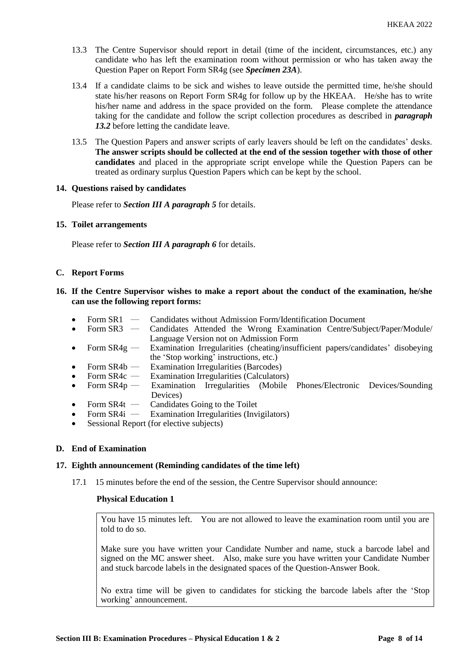- 13.3 The Centre Supervisor should report in detail (time of the incident, circumstances, etc.) any candidate who has left the examination room without permission or who has taken away the Question Paper on Report Form SR4g (see *Specimen 23A*).
- 13.4 If a candidate claims to be sick and wishes to leave outside the permitted time, he/she should state his/her reasons on Report Form SR4g for follow up by the HKEAA. He/she has to write his/her name and address in the space provided on the form. Please complete the attendance taking for the candidate and follow the script collection procedures as described in *paragraph 13.2* before letting the candidate leave.
- 13.5 The Question Papers and answer scripts of early leavers should be left on the candidates' desks. **The answer scripts should be collected at the end of the session together with those of other candidates** and placed in the appropriate script envelope while the Question Papers can be treated as ordinary surplus Question Papers which can be kept by the school.

#### **14. Questions raised by candidates**

Please refer to *Section III A paragraph 5* for details.

#### **15. Toilet arrangements**

Please refer to *Section III A paragraph 6* for details.

#### **C. Report Forms**

## **16. If the Centre Supervisor wishes to make a report about the conduct of the examination, he/she can use the following report forms:**

- Form SR1 Candidates without Admission Form/Identification Document<br>• Form SR3 Candidates Attended the Wrong Examination Centre/Sub
- Form SR3 Candidates Attended the Wrong Examination Centre/Subject/Paper/Module/ Language Version not on Admission Form
- Form  $SR4g$  Examination Irregularities (cheating/insufficient papers/candidates' disobeying the 'Stop working' instructions, etc.)
- Form SR4b Examination Irregularities (Barcodes)
- Form SR4c Examination Irregularities (Calculators)
- Form SR4p Examination Irregularities (Mobile Phones/Electronic Devices/Sounding Devices)
- Form  $SR4t$  Candidates Going to the Toilet
- Form SR4i Examination Irregularities (Invigilators)
- Sessional Report (for elective subjects)

## **D. End of Examination**

## **17. Eighth announcement (Reminding candidates of the time left)**

17.1 15 minutes before the end of the session, the Centre Supervisor should announce:

#### **Physical Education 1**

You have 15 minutes left. You are not allowed to leave the examination room until you are told to do so.

Make sure you have written your Candidate Number and name, stuck a barcode label and signed on the MC answer sheet. Also, make sure you have written your Candidate Number and stuck barcode labels in the designated spaces of the Question-Answer Book.

No extra time will be given to candidates for sticking the barcode labels after the 'Stop working' announcement.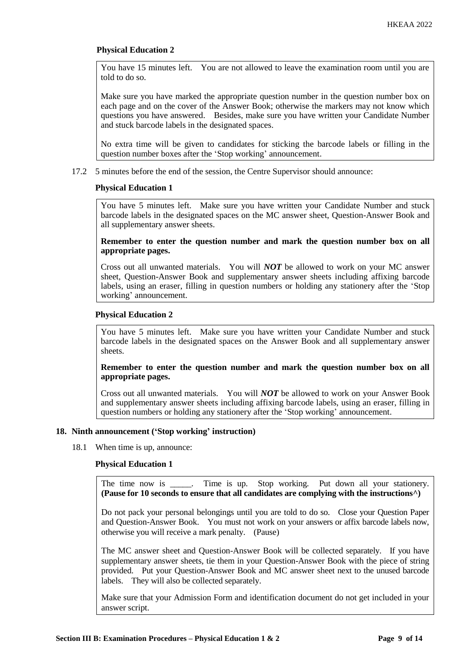## **Physical Education 2**

You have 15 minutes left. You are not allowed to leave the examination room until you are told to do so.

Make sure you have marked the appropriate question number in the question number box on each page and on the cover of the Answer Book; otherwise the markers may not know which questions you have answered. Besides, make sure you have written your Candidate Number and stuck barcode labels in the designated spaces.

No extra time will be given to candidates for sticking the barcode labels or filling in the question number boxes after the 'Stop working' announcement.

17.2 5 minutes before the end of the session, the Centre Supervisor should announce:

#### **Physical Education 1**

You have 5 minutes left. Make sure you have written your Candidate Number and stuck barcode labels in the designated spaces on the MC answer sheet, Question-Answer Book and all supplementary answer sheets.

#### **Remember to enter the question number and mark the question number box on all appropriate pages.**

Cross out all unwanted materials. You will *NOT* be allowed to work on your MC answer sheet, Question-Answer Book and supplementary answer sheets including affixing barcode labels, using an eraser, filling in question numbers or holding any stationery after the 'Stop working' announcement.

## **Physical Education 2**

You have 5 minutes left. Make sure you have written your Candidate Number and stuck barcode labels in the designated spaces on the Answer Book and all supplementary answer sheets.

## **Remember to enter the question number and mark the question number box on all appropriate pages.**

Cross out all unwanted materials. You will *NOT* be allowed to work on your Answer Book and supplementary answer sheets including affixing barcode labels, using an eraser, filling in question numbers or holding any stationery after the 'Stop working' announcement.

## **18. Ninth announcement ('Stop working' instruction)**

18.1 When time is up, announce:

## **Physical Education 1**

The time now is \_\_\_\_\_. Time is up. Stop working. Put down all your stationery. **(Pause for 10 seconds to ensure that all candidates are complying with the instructions^)**

Do not pack your personal belongings until you are told to do so. Close your Question Paper and Question-Answer Book. You must not work on your answers or affix barcode labels now, otherwise you will receive a mark penalty. (Pause)

The MC answer sheet and Question-Answer Book will be collected separately. If you have supplementary answer sheets, tie them in your Question-Answer Book with the piece of string provided. Put your Question-Answer Book and MC answer sheet next to the unused barcode labels. They will also be collected separately.

Make sure that your Admission Form and identification document do not get included in your answer script.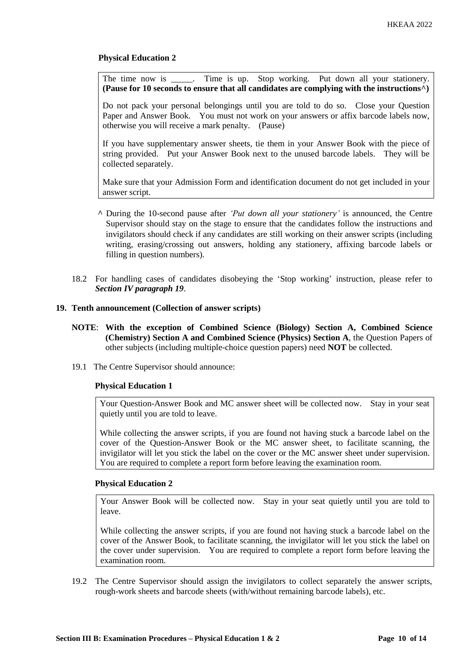# **Physical Education 2**

The time now is \_\_\_\_\_. Time is up. Stop working. Put down all your stationery. **(Pause for 10 seconds to ensure that all candidates are complying with the instructions^)**

Do not pack your personal belongings until you are told to do so. Close your Question Paper and Answer Book. You must not work on your answers or affix barcode labels now, otherwise you will receive a mark penalty. (Pause)

If you have supplementary answer sheets, tie them in your Answer Book with the piece of string provided. Put your Answer Book next to the unused barcode labels. They will be collected separately.

Make sure that your Admission Form and identification document do not get included in your answer script.

- **^** During the 10-second pause after *'Put down all your stationery'* is announced, the Centre Supervisor should stay on the stage to ensure that the candidates follow the instructions and invigilators should check if any candidates are still working on their answer scripts (including writing, erasing/crossing out answers, holding any stationery, affixing barcode labels or filling in question numbers).
- 18.2 For handling cases of candidates disobeying the 'Stop working' instruction, please refer to *Section IV paragraph 19*.

#### **19. Tenth announcement (Collection of answer scripts)**

- **NOTE**: **With the exception of Combined Science (Biology) Section A, Combined Science (Chemistry) Section A and Combined Science (Physics) Section A**, the Question Papers of other subjects (including multiple-choice question papers) need **NOT** be collected.
- 19.1 The Centre Supervisor should announce:

## **Physical Education 1**

Your Question-Answer Book and MC answer sheet will be collected now. Stay in your seat quietly until you are told to leave.

While collecting the answer scripts, if you are found not having stuck a barcode label on the cover of the Question-Answer Book or the MC answer sheet, to facilitate scanning, the invigilator will let you stick the label on the cover or the MC answer sheet under supervision. You are required to complete a report form before leaving the examination room.

## **Physical Education 2**

Your Answer Book will be collected now. Stay in your seat quietly until you are told to leave.

While collecting the answer scripts, if you are found not having stuck a barcode label on the cover of the Answer Book, to facilitate scanning, the invigilator will let you stick the label on the cover under supervision. You are required to complete a report form before leaving the examination room.

19.2 The Centre Supervisor should assign the invigilators to collect separately the answer scripts, rough-work sheets and barcode sheets (with/without remaining barcode labels), etc.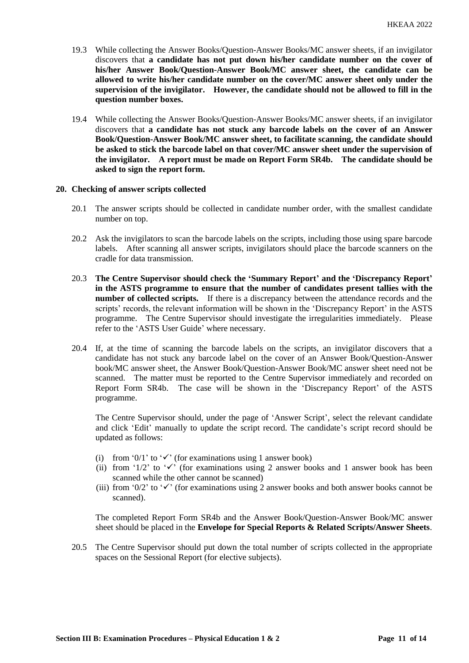- 19.3 While collecting the Answer Books/Question-Answer Books/MC answer sheets, if an invigilator discovers that **a candidate has not put down his/her candidate number on the cover of his/her Answer Book/Question-Answer Book/MC answer sheet, the candidate can be allowed to write his/her candidate number on the cover/MC answer sheet only under the supervision of the invigilator. However, the candidate should not be allowed to fill in the question number boxes.**
- 19.4 While collecting the Answer Books/Question-Answer Books/MC answer sheets, if an invigilator discovers that **a candidate has not stuck any barcode labels on the cover of an Answer Book/Question-Answer Book/MC answer sheet, to facilitate scanning, the candidate should be asked to stick the barcode label on that cover/MC answer sheet under the supervision of the invigilator. A report must be made on Report Form SR4b. The candidate should be asked to sign the report form.**

#### **20. Checking of answer scripts collected**

- 20.1 The answer scripts should be collected in candidate number order, with the smallest candidate number on top.
- 20.2 Ask the invigilators to scan the barcode labels on the scripts, including those using spare barcode labels. After scanning all answer scripts, invigilators should place the barcode scanners on the cradle for data transmission.
- 20.3 **The Centre Supervisor should check the 'Summary Report' and the 'Discrepancy Report' in the ASTS programme to ensure that the number of candidates present tallies with the number of collected scripts.** If there is a discrepancy between the attendance records and the scripts' records, the relevant information will be shown in the 'Discrepancy Report' in the ASTS programme. The Centre Supervisor should investigate the irregularities immediately. Please refer to the 'ASTS User Guide' where necessary.
- 20.4 If, at the time of scanning the barcode labels on the scripts, an invigilator discovers that a candidate has not stuck any barcode label on the cover of an Answer Book/Question-Answer book/MC answer sheet, the Answer Book/Question-Answer Book/MC answer sheet need not be scanned. The matter must be reported to the Centre Supervisor immediately and recorded on Report Form SR4b. The case will be shown in the 'Discrepancy Report' of the ASTS programme.

The Centre Supervisor should, under the page of 'Answer Script', select the relevant candidate and click 'Edit' manually to update the script record. The candidate's script record should be updated as follows:

- (i) from '0/1' to ' $\checkmark$ ' (for examinations using 1 answer book)
- (ii) from '1/2' to ' $\checkmark$ ' (for examinations using 2 answer books and 1 answer book has been scanned while the other cannot be scanned)
- (iii) from '0/2' to ' $\checkmark$ ' (for examinations using 2 answer books and both answer books cannot be scanned).

The completed Report Form SR4b and the Answer Book/Question-Answer Book/MC answer sheet should be placed in the **Envelope for Special Reports & Related Scripts/Answer Sheets**.

20.5 The Centre Supervisor should put down the total number of scripts collected in the appropriate spaces on the Sessional Report (for elective subjects).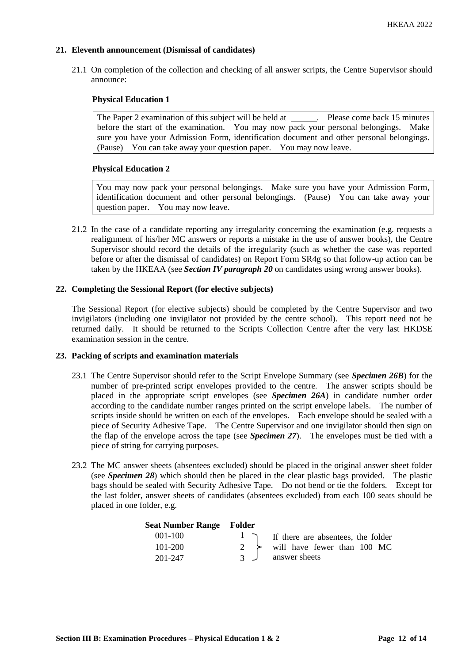# **21. Eleventh announcement (Dismissal of candidates)**

21.1 On completion of the collection and checking of all answer scripts, the Centre Supervisor should announce:

# **Physical Education 1**

The Paper 2 examination of this subject will be held at . Please come back 15 minutes before the start of the examination. You may now pack your personal belongings. Make sure you have your Admission Form, identification document and other personal belongings. (Pause) You can take away your question paper. You may now leave.

## **Physical Education 2**

You may now pack your personal belongings. Make sure you have your Admission Form, identification document and other personal belongings. (Pause) You can take away your question paper. You may now leave.

21.2 In the case of a candidate reporting any irregularity concerning the examination (e.g. requests a realignment of his/her MC answers or reports a mistake in the use of answer books), the Centre Supervisor should record the details of the irregularity (such as whether the case was reported before or after the dismissal of candidates) on Report Form SR4g so that follow-up action can be taken by the HKEAA (see *Section IV paragraph 20* on candidates using wrong answer books).

# **22. Completing the Sessional Report (for elective subjects)**

The Sessional Report (for elective subjects) should be completed by the Centre Supervisor and two invigilators (including one invigilator not provided by the centre school). This report need not be returned daily. It should be returned to the Scripts Collection Centre after the very last HKDSE examination session in the centre.

## **23. Packing of scripts and examination materials**

- 23.1 The Centre Supervisor should refer to the Script Envelope Summary (see *Specimen 26B*) for the number of pre-printed script envelopes provided to the centre. The answer scripts should be placed in the appropriate script envelopes (see *Specimen 26A*) in candidate number order according to the candidate number ranges printed on the script envelope labels. The number of scripts inside should be written on each of the envelopes. Each envelope should be sealed with a piece of Security Adhesive Tape. The Centre Supervisor and one invigilator should then sign on the flap of the envelope across the tape (see *Specimen 27*). The envelopes must be tied with a piece of string for carrying purposes.
- 23.2 The MC answer sheets (absentees excluded) should be placed in the original answer sheet folder (see *Specimen 28*) which should then be placed in the clear plastic bags provided. The plastic bags should be sealed with Security Adhesive Tape. Do not bend or tie the folders. Except for the last folder, answer sheets of candidates (absentees excluded) from each 100 seats should be placed in one folder, e.g.

| <b>Seat Number Range Folder</b> |                                              |
|---------------------------------|----------------------------------------------|
| $001 - 100$                     | $\vert$ T if there are absentees, the folder |
| 101-200                         | 2 $\rightarrow$ will have fewer than 100 MC  |
| 201-247                         | answer sheets                                |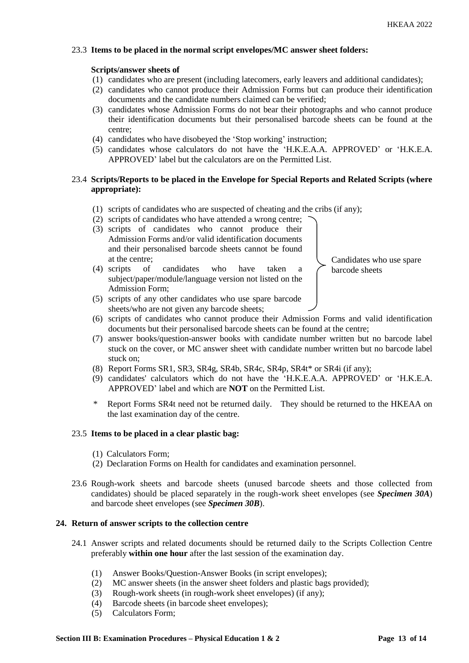## 23.3 **Items to be placed in the normal script envelopes/MC answer sheet folders:**

## **Scripts/answer sheets of**

- (1) candidates who are present (including latecomers, early leavers and additional candidates);
- (2) candidates who cannot produce their Admission Forms but can produce their identification documents and the candidate numbers claimed can be verified;
- (3) candidates whose Admission Forms do not bear their photographs and who cannot produce their identification documents but their personalised barcode sheets can be found at the centre;
- (4) candidates who have disobeyed the 'Stop working' instruction;
- (5) candidates whose calculators do not have the 'H.K.E.A.A. APPROVED' or 'H.K.E.A. APPROVED' label but the calculators are on the Permitted List.

# 23.4 **Scripts/Reports to be placed in the Envelope for Special Reports and Related Scripts (where appropriate):**

- (1) scripts of candidates who are suspected of cheating and the cribs (if any);
- (2) scripts of candidates who have attended a wrong centre;
- (3) scripts of candidates who cannot produce their Admission Forms and/or valid identification documents and their personalised barcode sheets cannot be found at the centre;
- (4) scripts of candidates who have taken a subject/paper/module/language version not listed on the Admission Form; (5) scripts of any other candidates who use spare barcode

Candidates who use spare barcode sheets

- sheets/who are not given any barcode sheets; (6) scripts of candidates who cannot produce their Admission Forms and valid identification documents but their personalised barcode sheets can be found at the centre;
- (7) answer books/question-answer books with candidate number written but no barcode label stuck on the cover, or MC answer sheet with candidate number written but no barcode label stuck on;
- (8) Report Forms SR1, SR3, SR4g, SR4b, SR4c, SR4p, SR4t\* or SR4i (if any);
- (9) candidates' calculators which do not have the 'H.K.E.A.A. APPROVED' or 'H.K.E.A. APPROVED' label and which are **NOT** on the Permitted List.
- \* Report Forms SR4t need not be returned daily. They should be returned to the HKEAA on the last examination day of the centre.

## 23.5 **Items to be placed in a clear plastic bag:**

- (1) Calculators Form;
- (2) Declaration Forms on Health for candidates and examination personnel.
- 23.6 Rough-work sheets and barcode sheets (unused barcode sheets and those collected from candidates) should be placed separately in the rough-work sheet envelopes (see *Specimen 30A*) and barcode sheet envelopes (see *Specimen 30B*).

## **24. Return of answer scripts to the collection centre**

- 24.1 Answer scripts and related documents should be returned daily to the Scripts Collection Centre preferably **within one hour** after the last session of the examination day.
	- (1) Answer Books/Question-Answer Books (in script envelopes);
	- (2) MC answer sheets (in the answer sheet folders and plastic bags provided);
	- (3) Rough-work sheets (in rough-work sheet envelopes) (if any);
	- (4) Barcode sheets (in barcode sheet envelopes);
	- (5) Calculators Form;